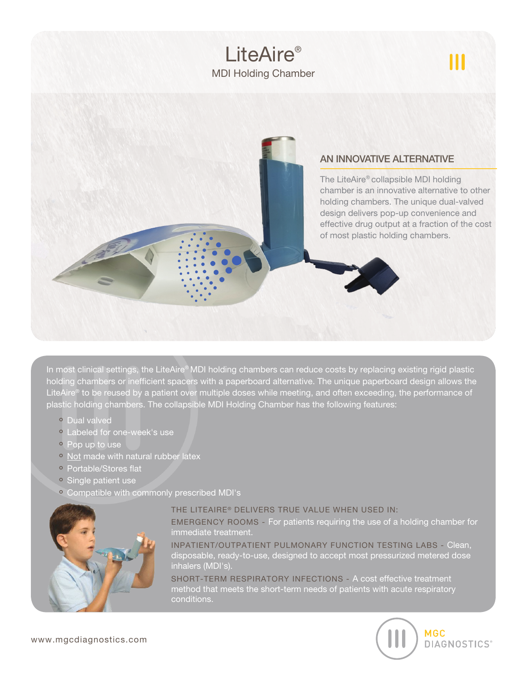

In most clinical settings, the LiteAire® MDI holding chambers can reduce costs by replacing existing rigid plastic holding chambers or inefficient spacers with a paperboard alternative. The unique paperboard design allows the LiteAire® to be reused by a patient over multiple doses while meeting, and often exceeding, the performance of plastic holding chambers. The collapsible MDI Holding Chamber has the following features:

- · Dual valved
- <sup>o</sup> Labeled for one-week's use
- Pop up to use
- Not made with natural rubber latex
- · Portable/Stores flat
- Single patient use
- Compatible with commonly prescribed MDI's



## THE LITEAIRE® DELIVERS TRUE VALUE WHEN USED IN:

EMERGENCY ROOMS - For patients requiring the use of a holding chamber for immediate treatment.

INPATIENT/OUTPATIENT PULMONARY FUNCTION TESTING LABS - Clean, disposable, ready-to-use, designed to accept most pressurized metered dose inhalers (MDI's).

SHORT-TERM RESPIRATORY INFECTIONS - A cost effective treatment method that meets the short-term needs of patients with acute respiratory conditions.